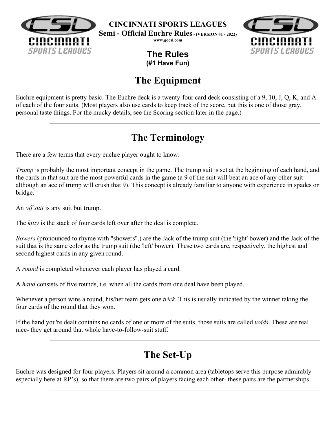

**CINCINNATI SPORTS LEAGUES**

**Semi - Official Euchre Rules- (VERSION #1 - 2022)**

**www.gocsl.com**



# **The Rules (#1 Have Fun)**

# **The Equipment**

Euchre equipment is pretty basic. The Euchre deck is a twenty-four card deck consisting of a 9, 10, J, Q, K, and A of each of the four suits. (Most players also use cards to keep track of the score, but this is one of those gray, personal taste things. For the mucky details, see the Scoring section later in the page.)

# **The Terminology**

There are a few terms that every euchre player ought to know:

*Trump* is probably the most important concept in the game. The trump suit is set at the beginning of each hand, and the cards in that suit are the most powerful cards in the game (a 9 of the suit will beat an ace of any other suitalthough an ace of trump will crush that 9). This concept is already familiar to anyone with experience in spades or bridge.

An *off suit* is any suit but trump.

The *kitty* is the stack of four cards left over after the deal is complete.

*Bowers* (pronounced to rhyme with "showers".) are the Jack of the trump suit (the 'right' bower) and the Jack of the suit that is the same color as the trump suit (the 'left' bower). These two cards are, respectively, the highest and second highest cards in any given round.

A *round* is completed whenever each player has played a card.

A *hand* consists of five rounds, i.e. when all the cards from one deal have been played.

Whenever a person wins a round, his/her team gets one *trick*. This is usually indicated by the winner taking the four cards of the round that they won.

If the hand you're dealt contains no cards of one or more of the suits, those suits are called *voids*. These are real nice- they get around that whole have-to-follow-suit stuff.

# **The Set-Up**

Euchre was designed for four players. Players sit around a common area (tabletops serve this purpose admirably especially here at RP's), so that there are two pairs of players facing each other- these pairs are the partnerships.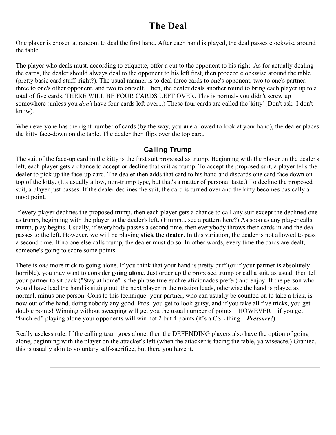# **The Deal**

One player is chosen at random to deal the first hand. After each hand is played, the deal passes clockwise around the table.

The player who deals must, according to etiquette, offer a cut to the opponent to his right. As for actually dealing the cards, the dealer should always deal to the opponent to his left first, then proceed clockwise around the table (pretty basic card stuff, right?). The usual manner is to deal three cards to one's opponent, two to one's partner, three to one's other opponent, and two to oneself. Then, the dealer deals another round to bring each player up to a total of five cards. THERE WILL BE FOUR CARDS LEFT OVER. This is normal- you didn't screw up somewhere (unless you *don't* have four cards left over...) These four cards are called the 'kitty' (Don't ask- I don't know).

When everyone has the right number of cards (by the way, you **are** allowed to look at your hand), the dealer places the kitty face-down on the table. The dealer then flips over the top card.

#### **Calling Trump**

The suit of the face-up card in the kitty is the first suit proposed as trump. Beginning with the player on the dealer's left, each player gets a chance to accept or decline that suit as trump. To accept the proposed suit, a player tells the dealer to pick up the face-up card. The dealer then adds that card to his hand and discards one card face down on top of the kitty. (It's usually a low, non-trump type, but that's a matter of personal taste.) To decline the proposed suit, a player just passes. If the dealer declines the suit, the card is turned over and the kitty becomes basically a moot point.

If every player declines the proposed trump, then each player gets a chance to call any suit except the declined one as trump, beginning with the player to the dealer's left. (Hmmn... see a pattern here?) As soon as any player calls trump, play begins. Usually, if everybody passes a second time, then everybody throws their cards in and the deal passes to the left. However, we will be playing **stick the dealer**. In this variation, the dealer is not allowed to pass a second time. If no one else calls trump, the dealer must do so. In other words, every time the cards are dealt, someone's going to score some points.

There is *one* more trick to going alone. If you think that your hand is pretty buff (or if your partner is absolutely horrible), you may want to consider **going alone**. Just order up the proposed trump or call a suit, as usual, then tell your partner to sit back ("Stay at home" is the phrase true euchre aficionados prefer) and enjoy. If the person who would have lead the hand is sitting out, the next player in the rotation leads, otherwise the hand is played as normal, minus one person. Cons to this technique- your partner, who can usually be counted on to take a trick, is now out of the hand, doing nobody any good. Pros- you get to look gutsy, and if you take all five tricks, you get double points! Winning without sweeping will get you the usual number of points – HOWEVER – if you get "Euchred" playing alone your opponents will win not 2 but 4 points (it's a CSL thing – *Pressure!*).

Really useless rule: If the calling team goes alone, then the DEFENDING players also have the option of going alone, beginning with the player on the attacker's left (when the attacker is facing the table, ya wiseacre.) Granted, this is usually akin to voluntary self-sacrifice, but there you have it.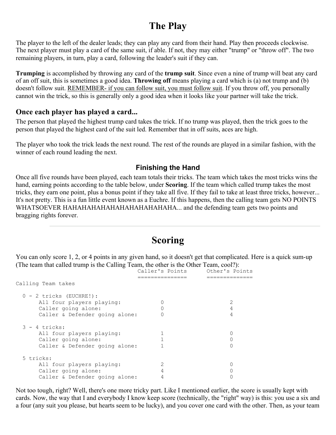### **The Play**

The player to the left of the dealer leads; they can play any card from their hand. Play then proceeds clockwise. The next player must play a card of the same suit, if able. If not, they may either "trump" or "throw off". The two remaining players, in turn, play a card, following the leader's suit if they can.

**Trumping** is accomplished by throwing any card of the **trump suit**. Since even a nine of trump will beat any card of an off suit, this is sometimes a good idea. **Throwing off** means playing a card which is (a) not trump and (b) doesn't follow suit. REMEMBER- if you can follow suit, you must follow suit. If you throw off, you personally cannot win the trick, so this is generally only a good idea when it looks like your partner will take the trick.

#### **Once each player has played a card...**

The person that played the highest trump card takes the trick. If no trump was played, then the trick goes to the person that played the highest card of the suit led. Remember that in off suits, aces are high.

The player who took the trick leads the next round. The rest of the rounds are played in a similar fashion, with the winner of each round leading the next.

#### **Finishing the Hand**

Once all five rounds have been played, each team totals their tricks. The team which takes the most tricks wins the hand, earning points according to the table below, under **Scoring**. If the team which called trump takes the most tricks, they earn one point, plus a bonus point if they take all five. If they fail to take at least three tricks, however... It's not pretty. This is a fun little event known as a Euchre. If this happens, then the calling team gets NO POINTS WHATSOEVER HAHAHAHAHAHAHAHAHAHAHAHA... and the defending team gets two points and bragging rights forever.

# **Scoring**

You can only score 1, 2, or 4 points in any given hand, so it doesn't get that complicated. Here is a quick sum-up (The team that called trump is the Calling Team, the other is the Other Team, cool?):

|                                | Caller's Points | Other's Points |
|--------------------------------|-----------------|----------------|
|                                |                 |                |
| Calling Team takes             |                 |                |
|                                |                 |                |
| $0 - 2$ tricks (EUCHRE!):      |                 |                |
| All four players playing:      |                 |                |
| Caller going alone:            |                 |                |
| Caller & Defender going alone: |                 |                |
| $3 - 4$ tricks:                |                 |                |
| All four players playing:      |                 |                |
| Caller going alone:            |                 |                |
| Caller & Defender going alone: |                 |                |
| 5 tricks:                      |                 |                |
| All four players playing:      |                 |                |
| Caller going alone:            |                 |                |
| Caller & Defender going alone: |                 |                |
|                                |                 |                |

Not too tough, right? Well, there's one more tricky part. Like I mentioned earlier, the score is usually kept with cards. Now, the way that I and everybody I know keep score (technically, the "right" way) is this: you use a six and a four (any suit you please, but hearts seem to be lucky), and you cover one card with the other. Then, as your team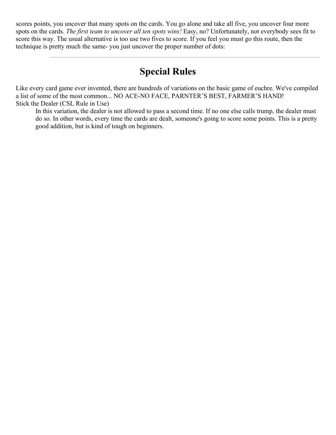scores points, you uncover that many spots on the cards. You go alone and take all five, you uncover four more spots on the cards. *The first team to uncover all ten spots wins!* Easy, no? Unfortunately, not everybody sees fit to score this way. The usual alternative is too use two fives to score. If you feel you must go this route, then the technique is pretty much the same- you just uncover the proper number of dots:

# **Special Rules**

Like every card game ever invented, there are hundreds of variations on the basic game of euchre. We've compiled a list of some of the most common... NO ACE-NO FACE, PARNTER'S BEST, FARMER'S HAND! Stick the Dealer (CSL Rule in Use)

In this variation, the dealer is not allowed to pass a second time. If no one else calls trump, the dealer must do so. In other words, every time the cards are dealt, someone's going to score some points. This is a pretty good addition, but is kind of tough on beginners.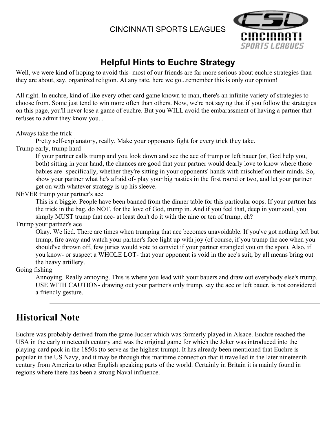### CINCINNATI SPORTS LEAGUES



# **Helpful Hints to Euchre Strategy**

Well, we were kind of hoping to avoid this- most of our friends are far more serious about euchre strategies than they are about, say, organized religion. At any rate, here we go...remember this is only our opinion!

All right. In euchre, kind of like every other card game known to man, there's an infinite variety of strategies to choose from. Some just tend to win more often than others. Now, we're not saying that if you follow the strategies on this page, you'll never lose a game of euchre. But you WILL avoid the embarassment of having a partner that refuses to admit they know you...

#### Always take the trick

Pretty self-explanatory, really. Make your opponents fight for every trick they take.

Trump early, trump hard

If your partner calls trump and you look down and see the ace of trump or left bauer (or, God help you, both) sitting in your hand, the chances are good that your partner would dearly love to know where those babies are- specifically, whether they're sitting in your opponents' hands with mischief on their minds. So, show your partner what he's afraid of- play your big nasties in the first round or two, and let your partner get on with whatever strategy is up his sleeve.

NEVER trump your partner's ace

This is a biggie. People have been banned from the dinner table for this particular oops. If your partner has the trick in the bag, do NOT, for the love of God, trump in. And if you feel that, deep in your soul, you simply MUST trump that ace- at least don't do it with the nine or ten of trump, eh?

#### Trump your partner's ace

Okay. We lied. There are times when trumping that ace becomes unavoidable. If you've got nothing left but trump, fire away and watch your partner's face light up with joy (of course, if you trump the ace when you should've thrown off, few juries would vote to convict if your partner strangled you on the spot). Also, if you know- or suspect a WHOLE LOT- that your opponent is void in the ace's suit, by all means bring out the heavy artillery.

Going fishing

Annoying. Really annoying. This is where you lead with your bauers and draw out everybody else's trump. USE WITH CAUTION- drawing out your partner's only trump, say the ace or left bauer, is not considered a friendly gesture.

# **Historical Note**

Euchre was probably derived from the game Jucker which was formerly played in Alsace. Euchre reached the USA in the early nineteenth century and was the original game for which the Joker was introduced into the playing-card pack in the 1850s (to serve as the highest trump). It has already been mentioned that Euchre is popular in the US Navy, and it may be through this maritime connection that it travelled in the later nineteenth century from America to other English speaking parts of the world. Certainly in Britain it is mainly found in regions where there has been a strong Naval influence.